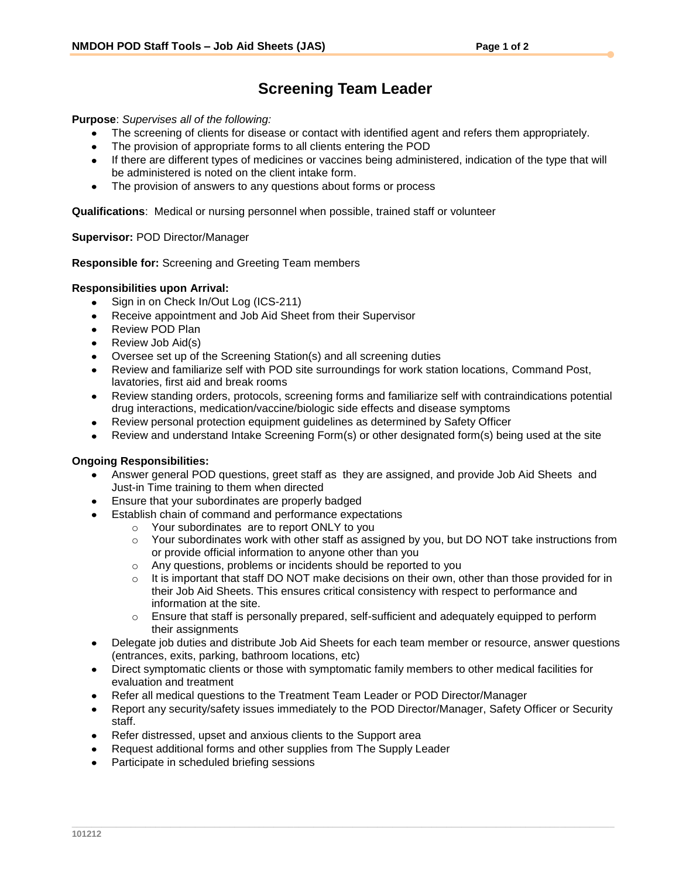# **Screening Team Leader**

**Purpose**: *Supervises all of the following:*

- The screening of clients for disease or contact with identified agent and refers them appropriately.
- The provision of appropriate forms to all clients entering the POD
- If there are different types of medicines or vaccines being administered, indication of the type that will be administered is noted on the client intake form.
- The provision of answers to any questions about forms or process

**Qualifications**:Medical or nursing personnel when possible, trained staff or volunteer

#### **Supervisor:** POD Director/Manager

**Responsible for:** Screening and Greeting Team members

#### **Responsibilities upon Arrival:**

- Sign in on Check In/Out Log (ICS-211)  $\bullet$
- Receive appointment and Job Aid Sheet from their Supervisor
- Review POD Plan
- Review Job Aid(s)
- Oversee set up of the Screening Station(s) and all screening duties
- Review and familiarize self with POD site surroundings for work station locations, Command Post, lavatories, first aid and break rooms
- Review standing orders, protocols, screening forms and familiarize self with contraindications potential drug interactions, medication/vaccine/biologic side effects and disease symptoms
- Review personal protection equipment guidelines as determined by Safety Officer
- Review and understand Intake Screening Form(s) or other designated form(s) being used at the site

### **Ongoing Responsibilities:**

- Answer general POD questions, greet staff as they are assigned, and provide Job Aid Sheets and Just-in Time training to them when directed
- Ensure that your subordinates are properly badged
- Establish chain of command and performance expectations
	- o Your subordinates are to report ONLY to you
	- $\circ$  Your subordinates work with other staff as assigned by you, but DO NOT take instructions from or provide official information to anyone other than you
	- $\circ$  Any questions, problems or incidents should be reported to you
	- $\circ$  It is important that staff DO NOT make decisions on their own, other than those provided for in their Job Aid Sheets. This ensures critical consistency with respect to performance and information at the site.
	- o Ensure that staff is personally prepared, self-sufficient and adequately equipped to perform their assignments
- Delegate job duties and distribute Job Aid Sheets for each team member or resource, answer questions (entrances, exits, parking, bathroom locations, etc)
- Direct symptomatic clients or those with symptomatic family members to other medical facilities for evaluation and treatment
- Refer all medical questions to the Treatment Team Leader or POD Director/Manager
- Report any security/safety issues immediately to the POD Director/Manager, Safety Officer or Security staff.
- Refer distressed, upset and anxious clients to the Support area
- Request additional forms and other supplies from The Supply Leader
- Participate in scheduled briefing sessions